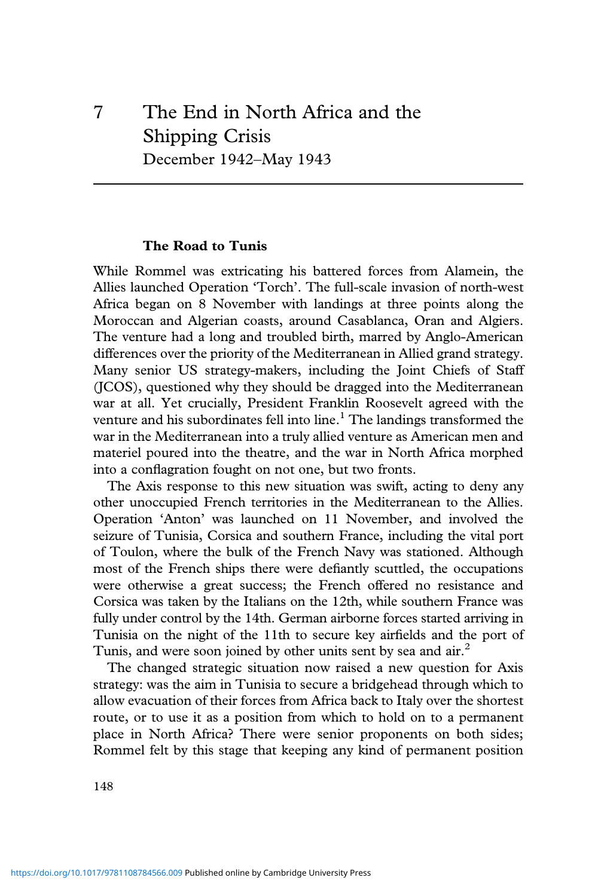# 7 The End in North Africa and the Shipping Crisis December 1942–May 1943

#### **The Road to Tunis**

While Rommel was extricating his battered forces from Alamein, the Allies launched Operation 'Torch'. The full-scale invasion of north-west Africa began on 8 November with landings at three points along the Moroccan and Algerian coasts, around Casablanca, Oran and Algiers. The venture had a long and troubled birth, marred by Anglo-American differences over the priority of the Mediterranean in Allied grand strategy. Many senior US strategy-makers, including the Joint Chiefs of Staff (JCOS), questioned why they should be dragged into the Mediterranean war at all. Yet crucially, President Franklin Roosevelt agreed with the venture and his subordinates fell into line.<sup>1</sup> The landings transformed the war in the Mediterranean into a truly allied venture as American men and materiel poured into the theatre, and the war in North Africa morphed into a conflagration fought on not one, but two fronts.

The Axis response to this new situation was swift, acting to deny any other unoccupied French territories in the Mediterranean to the Allies. Operation 'Anton' was launched on 11 November, and involved the seizure of Tunisia, Corsica and southern France, including the vital port of Toulon, where the bulk of the French Navy was stationed. Although most of the French ships there were defiantly scuttled, the occupations were otherwise a great success; the French offered no resistance and Corsica was taken by the Italians on the 12th, while southern France was fully under control by the 14th. German airborne forces started arriving in Tunisia on the night of the 11th to secure key airfields and the port of Tunis, and were soon joined by other units sent by sea and air.<sup>2</sup>

The changed strategic situation now raised a new question for Axis strategy: was the aim in Tunisia to secure a bridgehead through which to allow evacuation of their forces from Africa back to Italy over the shortest route, or to use it as a position from which to hold on to a permanent place in North Africa? There were senior proponents on both sides; Rommel felt by this stage that keeping any kind of permanent position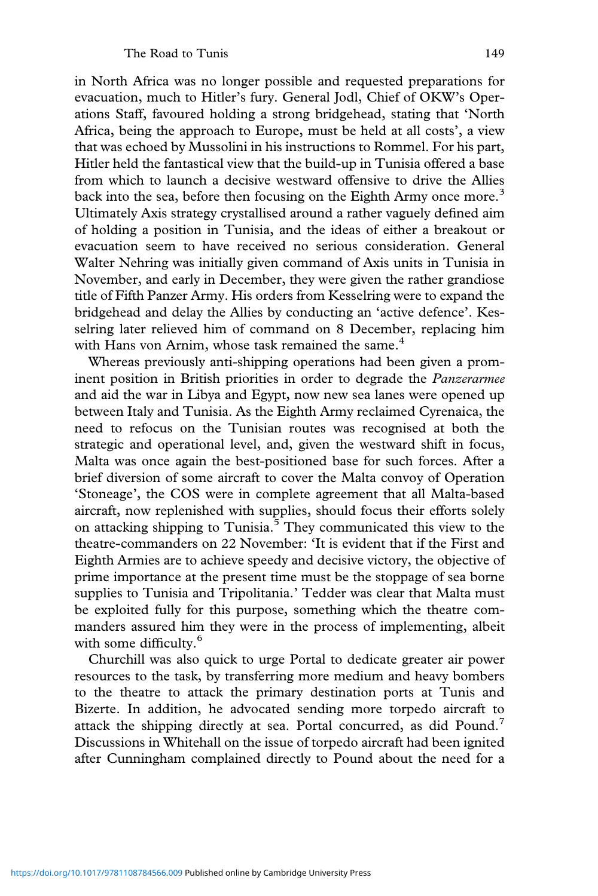in North Africa was no longer possible and requested preparations for evacuation, much to Hitler's fury. General Jodl, Chief of OKW's Operations Staff, favoured holding a strong bridgehead, stating that 'North Africa, being the approach to Europe, must be held at all costs', a view that was echoed by Mussolini in his instructions to Rommel. For his part, Hitler held the fantastical view that the build-up in Tunisia offered a base from which to launch a decisive westward offensive to drive the Allies back into the sea, before then focusing on the Eighth Army once more.<sup>3</sup> Ultimately Axis strategy crystallised around a rather vaguely defined aim of holding a position in Tunisia, and the ideas of either a breakout or evacuation seem to have received no serious consideration. General Walter Nehring was initially given command of Axis units in Tunisia in November, and early in December, they were given the rather grandiose title of Fifth Panzer Army. His orders from Kesselring were to expand the bridgehead and delay the Allies by conducting an 'active defence'. Kesselring later relieved him of command on 8 December, replacing him with Hans von Arnim, whose task remained the same.<sup>4</sup>

Whereas previously anti-shipping operations had been given a prominent position in British priorities in order to degrade the *Panzerarmee* and aid the war in Libya and Egypt, now new sea lanes were opened up between Italy and Tunisia. As the Eighth Army reclaimed Cyrenaica, the need to refocus on the Tunisian routes was recognised at both the strategic and operational level, and, given the westward shift in focus, Malta was once again the best-positioned base for such forces. After a brief diversion of some aircraft to cover the Malta convoy of Operation 'Stoneage', the COS were in complete agreement that all Malta-based aircraft, now replenished with supplies, should focus their efforts solely on attacking shipping to Tunisia.<sup>5</sup> They communicated this view to the theatre-commanders on 22 November: 'It is evident that if the First and Eighth Armies are to achieve speedy and decisive victory, the objective of prime importance at the present time must be the stoppage of sea borne supplies to Tunisia and Tripolitania.' Tedder was clear that Malta must be exploited fully for this purpose, something which the theatre commanders assured him they were in the process of implementing, albeit with some difficulty.<sup>6</sup>

Churchill was also quick to urge Portal to dedicate greater air power resources to the task, by transferring more medium and heavy bombers to the theatre to attack the primary destination ports at Tunis and Bizerte. In addition, he advocated sending more torpedo aircraft to attack the shipping directly at sea. Portal concurred, as did Pound.<sup>7</sup> Discussions in Whitehall on the issue of torpedo aircraft had been ignited after Cunningham complained directly to Pound about the need for a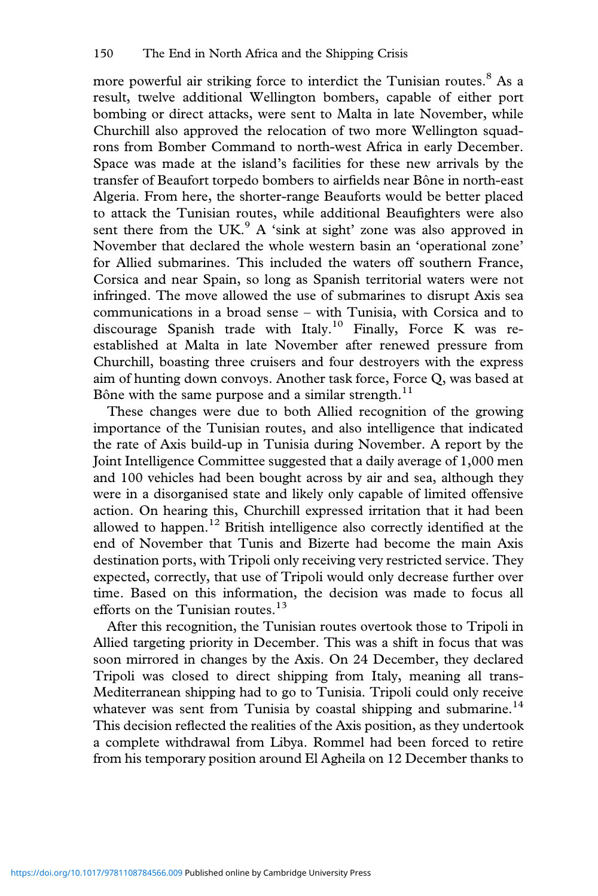more powerful air striking force to interdict the Tunisian routes.<sup>8</sup> As a result, twelve additional Wellington bombers, capable of either port bombing or direct attacks, were sent to Malta in late November, while Churchill also approved the relocation of two more Wellington squadrons from Bomber Command to north-west Africa in early December. Space was made at the island's facilities for these new arrivals by the transfer of Beaufort torpedo bombers to airfields near Bône in north-east Algeria. From here, the shorter-range Beauforts would be better placed to attack the Tunisian routes, while additional Beaufighters were also sent there from the UK.<sup>9</sup> A 'sink at sight' zone was also approved in November that declared the whole western basin an 'operational zone' for Allied submarines. This included the waters off southern France, Corsica and near Spain, so long as Spanish territorial waters were not infringed. The move allowed the use of submarines to disrupt Axis sea communications in a broad sense – with Tunisia, with Corsica and to discourage Spanish trade with Italy.<sup>10</sup> Finally, Force K was reestablished at Malta in late November after renewed pressure from Churchill, boasting three cruisers and four destroyers with the express aim of hunting down convoys. Another task force, Force Q, was based at Bône with the same purpose and a similar strength. $^{11}$ 

These changes were due to both Allied recognition of the growing importance of the Tunisian routes, and also intelligence that indicated the rate of Axis build-up in Tunisia during November. A report by the Joint Intelligence Committee suggested that a daily average of 1,000 men and 100 vehicles had been bought across by air and sea, although they were in a disorganised state and likely only capable of limited offensive action. On hearing this, Churchill expressed irritation that it had been allowed to happen.<sup>12</sup> British intelligence also correctly identified at the end of November that Tunis and Bizerte had become the main Axis destination ports, with Tripoli only receiving very restricted service. They expected, correctly, that use of Tripoli would only decrease further over time. Based on this information, the decision was made to focus all efforts on the Tunisian routes.<sup>13</sup>

After this recognition, the Tunisian routes overtook those to Tripoli in Allied targeting priority in December. This was a shift in focus that was soon mirrored in changes by the Axis. On 24 December, they declared Tripoli was closed to direct shipping from Italy, meaning all trans-Mediterranean shipping had to go to Tunisia. Tripoli could only receive whatever was sent from Tunisia by coastal shipping and submarine.<sup>14</sup> This decision reflected the realities of the Axis position, as they undertook a complete withdrawal from Libya. Rommel had been forced to retire from his temporary position around El Agheila on 12 December thanks to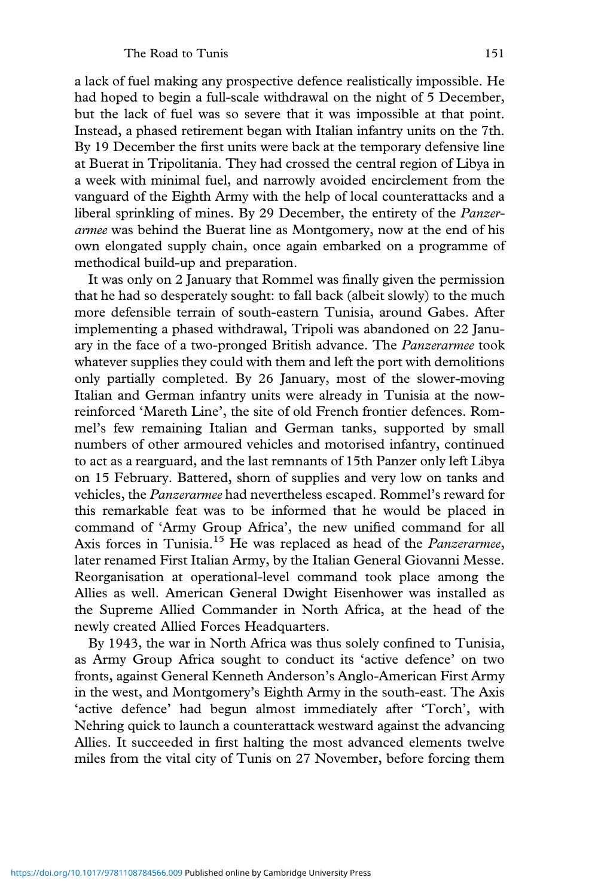a lack of fuel making any prospective defence realistically impossible. He had hoped to begin a full-scale withdrawal on the night of 5 December, but the lack of fuel was so severe that it was impossible at that point. Instead, a phased retirement began with Italian infantry units on the 7th. By 19 December the first units were back at the temporary defensive line at Buerat in Tripolitania. They had crossed the central region of Libya in a week with minimal fuel, and narrowly avoided encirclement from the vanguard of the Eighth Army with the help of local counterattacks and a liberal sprinkling of mines. By 29 December, the entirety of the *Panzerarmee* was behind the Buerat line as Montgomery, now at the end of his own elongated supply chain, once again embarked on a programme of methodical build-up and preparation.

It was only on 2 January that Rommel was finally given the permission that he had so desperately sought: to fall back (albeit slowly) to the much more defensible terrain of south-eastern Tunisia, around Gabes. After implementing a phased withdrawal, Tripoli was abandoned on 22 January in the face of a two-pronged British advance. The *Panzerarmee* took whatever supplies they could with them and left the port with demolitions only partially completed. By 26 January, most of the slower-moving Italian and German infantry units were already in Tunisia at the nowreinforced 'Mareth Line', the site of old French frontier defences. Rommel's few remaining Italian and German tanks, supported by small numbers of other armoured vehicles and motorised infantry, continued to act as a rearguard, and the last remnants of 15th Panzer only left Libya on 15 February. Battered, shorn of supplies and very low on tanks and vehicles, the *Panzerarmee* had nevertheless escaped. Rommel's reward for this remarkable feat was to be informed that he would be placed in command of 'Army Group Africa', the new unified command for all Axis forces in Tunisia.<sup>15</sup> He was replaced as head of the *Panzerarmee*, later renamed First Italian Army, by the Italian General Giovanni Messe. Reorganisation at operational-level command took place among the Allies as well. American General Dwight Eisenhower was installed as the Supreme Allied Commander in North Africa, at the head of the newly created Allied Forces Headquarters.

By 1943, the war in North Africa was thus solely confined to Tunisia, as Army Group Africa sought to conduct its 'active defence' on two fronts, against General Kenneth Anderson's Anglo-American First Army in the west, and Montgomery's Eighth Army in the south-east. The Axis 'active defence' had begun almost immediately after 'Torch', with Nehring quick to launch a counterattack westward against the advancing Allies. It succeeded in first halting the most advanced elements twelve miles from the vital city of Tunis on 27 November, before forcing them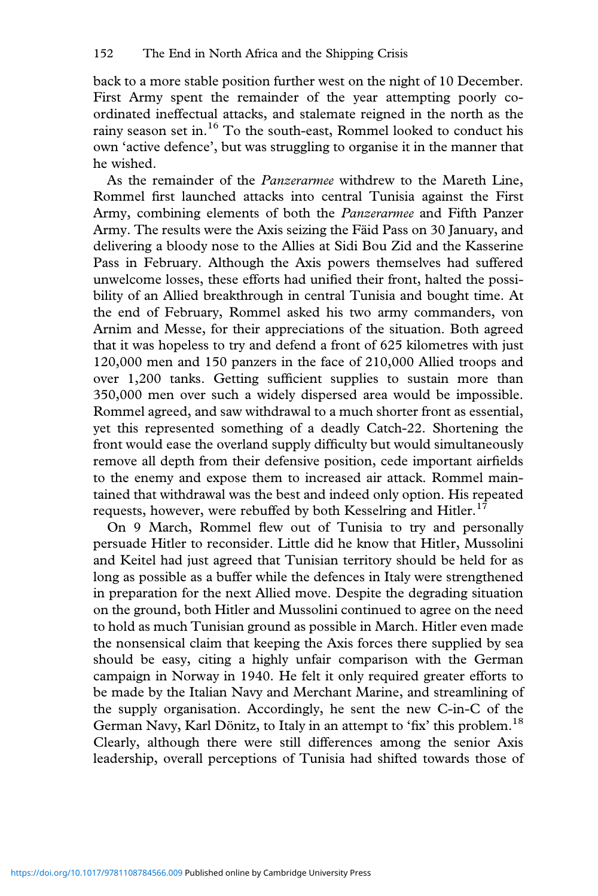back to a more stable position further west on the night of 10 December. First Army spent the remainder of the year attempting poorly coordinated ineffectual attacks, and stalemate reigned in the north as the rainy season set in.<sup>16</sup> To the south-east, Rommel looked to conduct his own 'active defence', but was struggling to organise it in the manner that he wished.

As the remainder of the *Panzerarmee* withdrew to the Mareth Line, Rommel first launched attacks into central Tunisia against the First Army, combining elements of both the *Panzerarmee* and Fifth Panzer Army. The results were the Axis seizing the Fäid Pass on 30 January, and delivering a bloody nose to the Allies at Sidi Bou Zid and the Kasserine Pass in February. Although the Axis powers themselves had suffered unwelcome losses, these efforts had unified their front, halted the possibility of an Allied breakthrough in central Tunisia and bought time. At the end of February, Rommel asked his two army commanders, von Arnim and Messe, for their appreciations of the situation. Both agreed that it was hopeless to try and defend a front of 625 kilometres with just 120,000 men and 150 panzers in the face of 210,000 Allied troops and over 1,200 tanks. Getting sufficient supplies to sustain more than 350,000 men over such a widely dispersed area would be impossible. Rommel agreed, and saw withdrawal to a much shorter front as essential, yet this represented something of a deadly Catch-22. Shortening the front would ease the overland supply difficulty but would simultaneously remove all depth from their defensive position, cede important airfields to the enemy and expose them to increased air attack. Rommel maintained that withdrawal was the best and indeed only option. His repeated requests, however, were rebuffed by both Kesselring and Hitler.<sup>17</sup>

On 9 March, Rommel flew out of Tunisia to try and personally persuade Hitler to reconsider. Little did he know that Hitler, Mussolini and Keitel had just agreed that Tunisian territory should be held for as long as possible as a buffer while the defences in Italy were strengthened in preparation for the next Allied move. Despite the degrading situation on the ground, both Hitler and Mussolini continued to agree on the need to hold as much Tunisian ground as possible in March. Hitler even made the nonsensical claim that keeping the Axis forces there supplied by sea should be easy, citing a highly unfair comparison with the German campaign in Norway in 1940. He felt it only required greater efforts to be made by the Italian Navy and Merchant Marine, and streamlining of the supply organisation. Accordingly, he sent the new C-in-C of the German Navy, Karl Dönitz, to Italy in an attempt to 'fix' this problem.<sup>18</sup> Clearly, although there were still differences among the senior Axis leadership, overall perceptions of Tunisia had shifted towards those of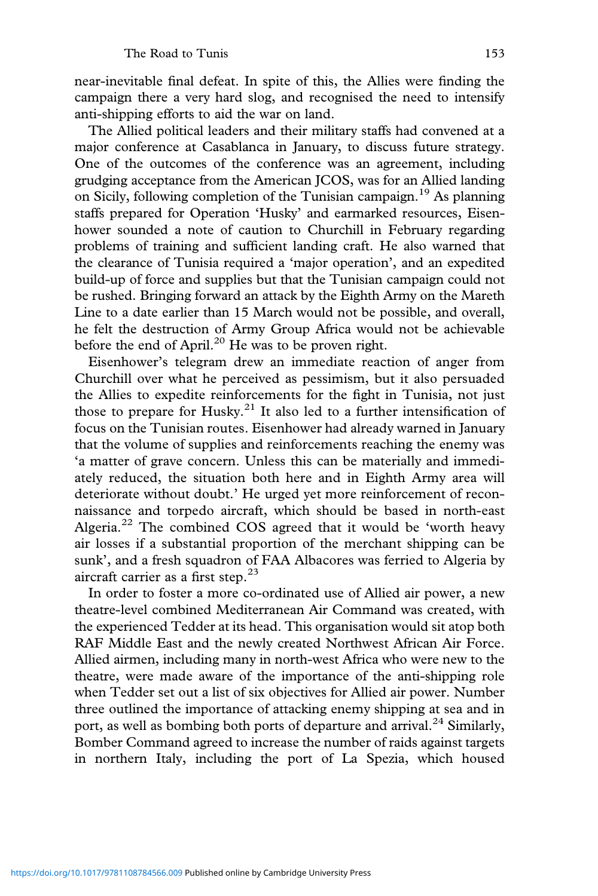near-inevitable final defeat. In spite of this, the Allies were finding the campaign there a very hard slog, and recognised the need to intensify anti-shipping efforts to aid the war on land.

The Allied political leaders and their military staffs had convened at a major conference at Casablanca in January, to discuss future strategy. One of the outcomes of the conference was an agreement, including grudging acceptance from the American JCOS, was for an Allied landing on Sicily, following completion of the Tunisian campaign.<sup>19</sup> As planning staffs prepared for Operation 'Husky' and earmarked resources, Eisenhower sounded a note of caution to Churchill in February regarding problems of training and sufficient landing craft. He also warned that the clearance of Tunisia required a 'major operation', and an expedited build-up of force and supplies but that the Tunisian campaign could not be rushed. Bringing forward an attack by the Eighth Army on the Mareth Line to a date earlier than 15 March would not be possible, and overall, he felt the destruction of Army Group Africa would not be achievable before the end of April.<sup>20</sup> He was to be proven right.

Eisenhower's telegram drew an immediate reaction of anger from Churchill over what he perceived as pessimism, but it also persuaded the Allies to expedite reinforcements for the fight in Tunisia, not just those to prepare for Husky.<sup>21</sup> It also led to a further intensification of focus on the Tunisian routes. Eisenhower had already warned in January that the volume of supplies and reinforcements reaching the enemy was 'a matter of grave concern. Unless this can be materially and immediately reduced, the situation both here and in Eighth Army area will deteriorate without doubt.' He urged yet more reinforcement of reconnaissance and torpedo aircraft, which should be based in north-east Algeria. $^{22}$  The combined COS agreed that it would be 'worth heavy air losses if a substantial proportion of the merchant shipping can be sunk', and a fresh squadron of FAA Albacores was ferried to Algeria by aircraft carrier as a first step. $23$ 

In order to foster a more co-ordinated use of Allied air power, a new theatre-level combined Mediterranean Air Command was created, with the experienced Tedder at its head. This organisation would sit atop both RAF Middle East and the newly created Northwest African Air Force. Allied airmen, including many in north-west Africa who were new to the theatre, were made aware of the importance of the anti-shipping role when Tedder set out a list of six objectives for Allied air power. Number three outlined the importance of attacking enemy shipping at sea and in port, as well as bombing both ports of departure and arrival.<sup>24</sup> Similarly, Bomber Command agreed to increase the number of raids against targets in northern Italy, including the port of La Spezia, which housed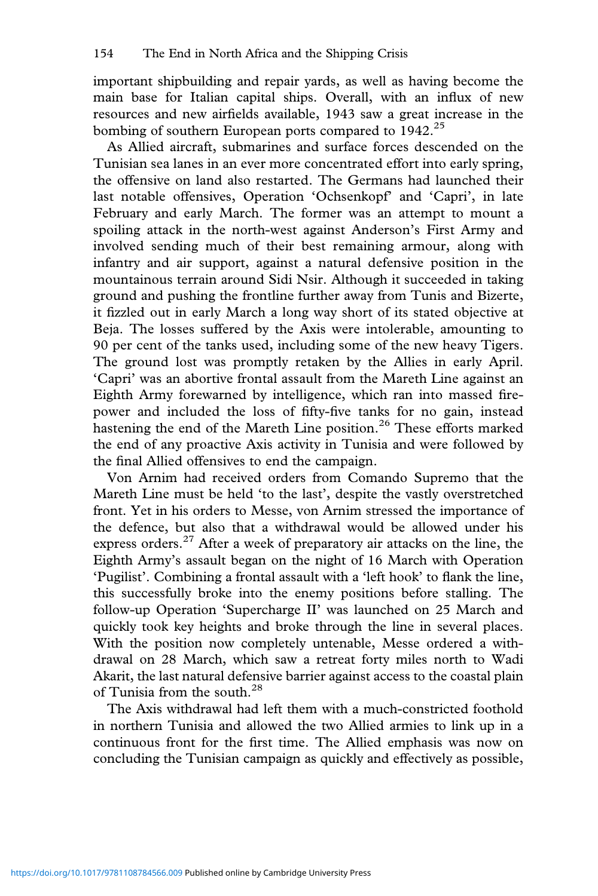important shipbuilding and repair yards, as well as having become the main base for Italian capital ships. Overall, with an influx of new resources and new airfields available, 1943 saw a great increase in the bombing of southern European ports compared to 1942.<sup>25</sup>

As Allied aircraft, submarines and surface forces descended on the Tunisian sea lanes in an ever more concentrated effort into early spring, the offensive on land also restarted. The Germans had launched their last notable offensives, Operation 'Ochsenkopf' and 'Capri', in late February and early March. The former was an attempt to mount a spoiling attack in the north-west against Anderson's First Army and involved sending much of their best remaining armour, along with infantry and air support, against a natural defensive position in the mountainous terrain around Sidi Nsir. Although it succeeded in taking ground and pushing the frontline further away from Tunis and Bizerte, it fizzled out in early March a long way short of its stated objective at Beja. The losses suffered by the Axis were intolerable, amounting to 90 per cent of the tanks used, including some of the new heavy Tigers. The ground lost was promptly retaken by the Allies in early April. 'Capri' was an abortive frontal assault from the Mareth Line against an Eighth Army forewarned by intelligence, which ran into massed firepower and included the loss of fifty-five tanks for no gain, instead hastening the end of the Mareth Line position.<sup>26</sup> These efforts marked the end of any proactive Axis activity in Tunisia and were followed by the final Allied offensives to end the campaign.

Von Arnim had received orders from Comando Supremo that the Mareth Line must be held 'to the last', despite the vastly overstretched front. Yet in his orders to Messe, von Arnim stressed the importance of the defence, but also that a withdrawal would be allowed under his express orders.<sup>27</sup> After a week of preparatory air attacks on the line, the Eighth Army's assault began on the night of 16 March with Operation 'Pugilist'. Combining a frontal assault with a 'left hook' to flank the line, this successfully broke into the enemy positions before stalling. The follow-up Operation 'Supercharge II' was launched on 25 March and quickly took key heights and broke through the line in several places. With the position now completely untenable, Messe ordered a withdrawal on 28 March, which saw a retreat forty miles north to Wadi Akarit, the last natural defensive barrier against access to the coastal plain of Tunisia from the south.<sup>28</sup>

The Axis withdrawal had left them with a much-constricted foothold in northern Tunisia and allowed the two Allied armies to link up in a continuous front for the first time. The Allied emphasis was now on concluding the Tunisian campaign as quickly and effectively as possible,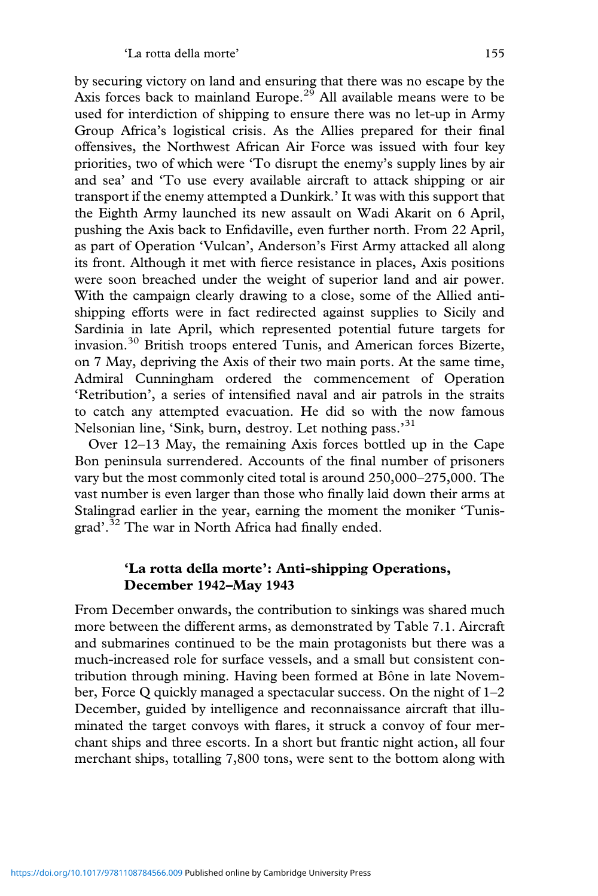by securing victory on land and ensuring that there was no escape by the Axis forces back to mainland Europe.<sup>29</sup> All available means were to be used for interdiction of shipping to ensure there was no let-up in Army Group Africa's logistical crisis. As the Allies prepared for their final offensives, the Northwest African Air Force was issued with four key priorities, two of which were 'To disrupt the enemy's supply lines by air and sea' and 'To use every available aircraft to attack shipping or air transport if the enemy attempted a Dunkirk.' It was with this support that the Eighth Army launched its new assault on Wadi Akarit on 6 April, pushing the Axis back to Enfidaville, even further north. From 22 April, as part of Operation 'Vulcan', Anderson's First Army attacked all along its front. Although it met with fierce resistance in places, Axis positions were soon breached under the weight of superior land and air power. With the campaign clearly drawing to a close, some of the Allied antishipping efforts were in fact redirected against supplies to Sicily and Sardinia in late April, which represented potential future targets for invasion.<sup>30</sup> British troops entered Tunis, and American forces Bizerte, on 7 May, depriving the Axis of their two main ports. At the same time, Admiral Cunningham ordered the commencement of Operation 'Retribution', a series of intensified naval and air patrols in the straits to catch any attempted evacuation. He did so with the now famous Nelsonian line, 'Sink, burn, destroy. Let nothing pass.'<sup>31</sup>

Over 12–13 May, the remaining Axis forces bottled up in the Cape Bon peninsula surrendered. Accounts of the final number of prisoners vary but the most commonly cited total is around 250,000–275,000. The vast number is even larger than those who finally laid down their arms at Stalingrad earlier in the year, earning the moment the moniker 'Tunisgrad'.<sup>32</sup> The war in North Africa had finally ended.

## **'La rotta della morte': Anti-shipping Operations, December 1942–May 1943**

From December onwards, the contribution to sinkings was shared much more between the different arms, as demonstrated by Table 7.1. Aircraft and submarines continued to be the main protagonists but there was a much-increased role for surface vessels, and a small but consistent contribution through mining. Having been formed at Bône in late November, Force Q quickly managed a spectacular success. On the night of 1–2 December, guided by intelligence and reconnaissance aircraft that illuminated the target convoys with flares, it struck a convoy of four merchant ships and three escorts. In a short but frantic night action, all four merchant ships, totalling 7,800 tons, were sent to the bottom along with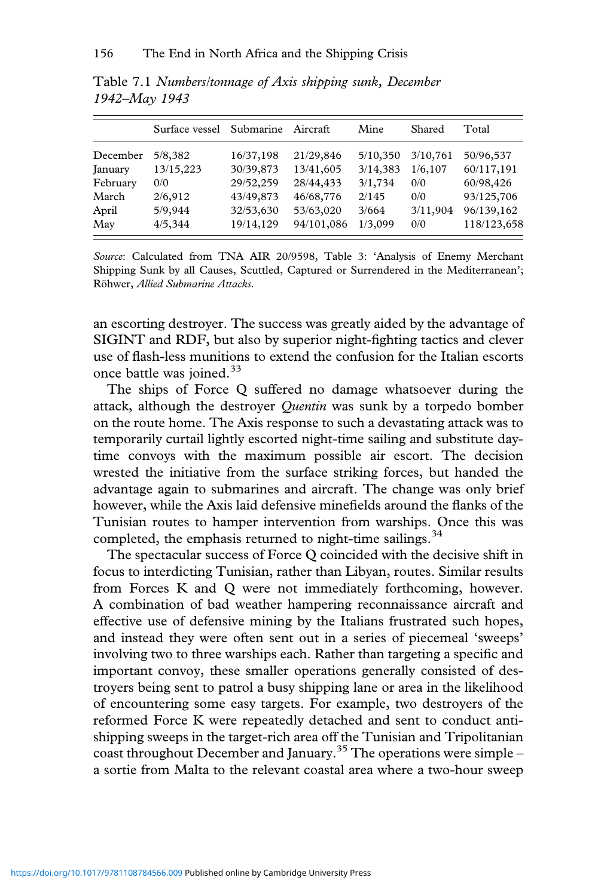|          | Surface vessel | Submarine | Aircraft   | Mine     | Shared   | Total       |
|----------|----------------|-----------|------------|----------|----------|-------------|
| December | 5/8,382        | 16/37,198 | 21/29,846  | 5/10,350 | 3/10,761 | 50/96,537   |
| January  | 13/15,223      | 30/39,873 | 13/41,605  | 3/14,383 | 1/6, 107 | 60/117,191  |
| February | 0/0            | 29/52,259 | 28/44,433  | 3/1,734  | 0/0      | 60/98,426   |
| March    | 2/6,912        | 43/49,873 | 46/68,776  | 2/145    | 0/0      | 93/125,706  |
| April    | 5/9,944        | 32/53,630 | 53/63,020  | 3/664    | 3/11,904 | 96/139,162  |
| May      | 4/5,344        | 19/14,129 | 94/101,086 | 1/3,099  | 0/0      | 118/123,658 |

Table 7.1 *Numbers/tonnage of Axis shipping sunk, December 1942–May 1943*

*Source*: Calculated from TNA AIR 20/9598, Table 3: 'Analysis of Enemy Merchant Shipping Sunk by all Causes, Scuttled, Captured or Surrendered in the Mediterranean'; Röhwer, *Allied Submarine Attacks*.

an escorting destroyer. The success was greatly aided by the advantage of SIGINT and RDF, but also by superior night-fighting tactics and clever use of flash-less munitions to extend the confusion for the Italian escorts once battle was joined.<sup>33</sup>

The ships of Force Q suffered no damage whatsoever during the attack, although the destroyer *Quentin* was sunk by a torpedo bomber on the route home. The Axis response to such a devastating attack was to temporarily curtail lightly escorted night-time sailing and substitute daytime convoys with the maximum possible air escort. The decision wrested the initiative from the surface striking forces, but handed the advantage again to submarines and aircraft. The change was only brief however, while the Axis laid defensive minefields around the flanks of the Tunisian routes to hamper intervention from warships. Once this was completed, the emphasis returned to night-time sailings. $34$ 

The spectacular success of Force Q coincided with the decisive shift in focus to interdicting Tunisian, rather than Libyan, routes. Similar results from Forces K and Q were not immediately forthcoming, however. A combination of bad weather hampering reconnaissance aircraft and effective use of defensive mining by the Italians frustrated such hopes, and instead they were often sent out in a series of piecemeal 'sweeps' involving two to three warships each. Rather than targeting a specific and important convoy, these smaller operations generally consisted of destroyers being sent to patrol a busy shipping lane or area in the likelihood of encountering some easy targets. For example, two destroyers of the reformed Force K were repeatedly detached and sent to conduct antishipping sweeps in the target-rich area off the Tunisian and Tripolitanian coast throughout December and January.<sup>35</sup> The operations were simple – a sortie from Malta to the relevant coastal area where a two-hour sweep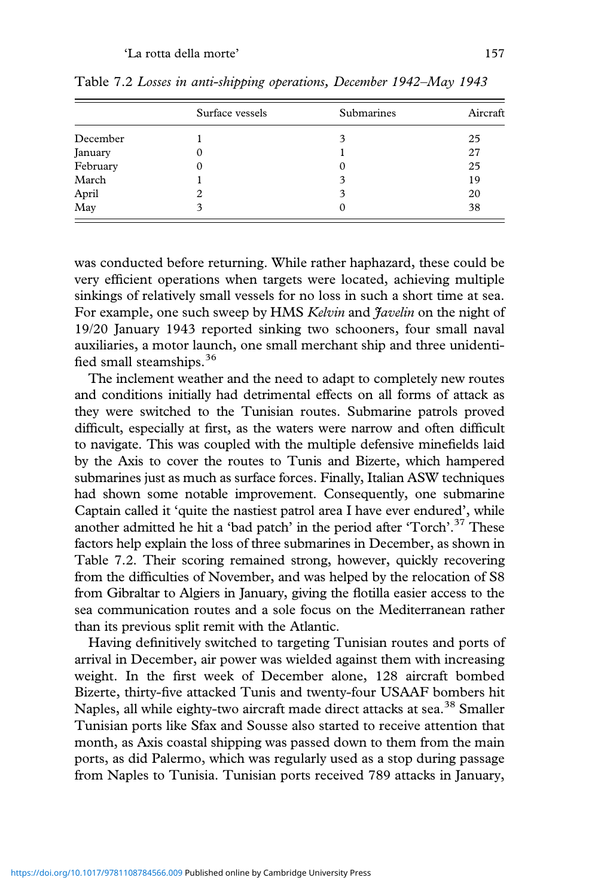|          | Surface vessels | Submarines | Aircraft |  |
|----------|-----------------|------------|----------|--|
| December |                 | 3          | 25       |  |
| January  | O               |            | 27       |  |
| February |                 | 0          | 25       |  |
| March    |                 | 3          | 19       |  |
| April    |                 | 3          | 20       |  |
| May      |                 |            | 38       |  |

Table 7.2 *Losses in anti-shipping operations, December 1942–May 1943*

was conducted before returning. While rather haphazard, these could be very efficient operations when targets were located, achieving multiple sinkings of relatively small vessels for no loss in such a short time at sea. For example, one such sweep by HMS *Kelvin* and *Javelin* on the night of 19/20 January 1943 reported sinking two schooners, four small naval auxiliaries, a motor launch, one small merchant ship and three unidentified small steamships.<sup>36</sup>

The inclement weather and the need to adapt to completely new routes and conditions initially had detrimental effects on all forms of attack as they were switched to the Tunisian routes. Submarine patrols proved difficult, especially at first, as the waters were narrow and often difficult to navigate. This was coupled with the multiple defensive minefields laid by the Axis to cover the routes to Tunis and Bizerte, which hampered submarines just as much as surface forces. Finally, Italian ASW techniques had shown some notable improvement. Consequently, one submarine Captain called it 'quite the nastiest patrol area I have ever endured', while another admitted he hit a 'bad patch' in the period after 'Torch'. <sup>37</sup> These factors help explain the loss of three submarines in December, as shown in Table 7.2. Their scoring remained strong, however, quickly recovering from the difficulties of November, and was helped by the relocation of S8 from Gibraltar to Algiers in January, giving the flotilla easier access to the sea communication routes and a sole focus on the Mediterranean rather than its previous split remit with the Atlantic.

Having definitively switched to targeting Tunisian routes and ports of arrival in December, air power was wielded against them with increasing weight. In the first week of December alone, 128 aircraft bombed Bizerte, thirty-five attacked Tunis and twenty-four USAAF bombers hit Naples, all while eighty-two aircraft made direct attacks at sea.<sup>38</sup> Smaller Tunisian ports like Sfax and Sousse also started to receive attention that month, as Axis coastal shipping was passed down to them from the main ports, as did Palermo, which was regularly used as a stop during passage from Naples to Tunisia. Tunisian ports received 789 attacks in January,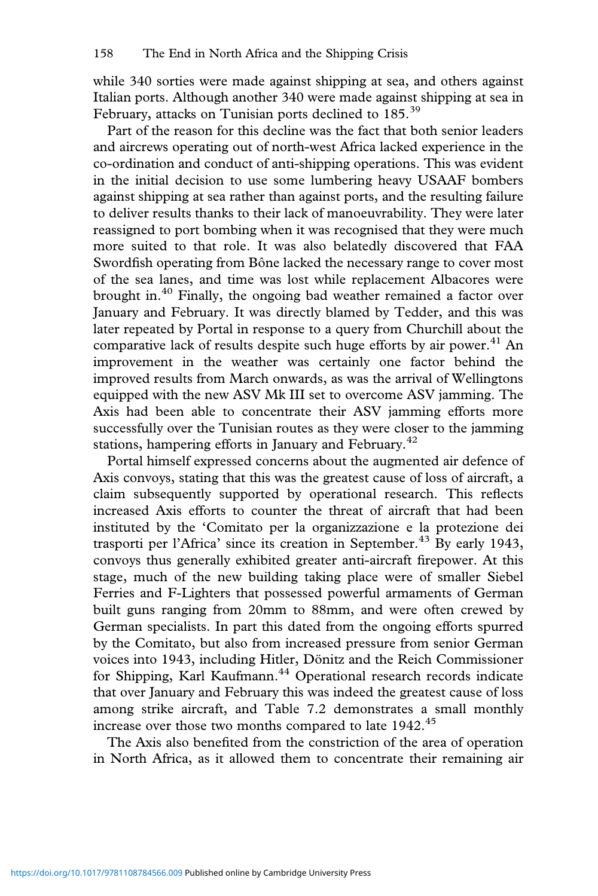while 340 sorties were made against shipping at sea, and others against Italian ports. Although another 340 were made against shipping at sea in February, attacks on Tunisian ports declined to 185.<sup>39</sup>

Part of the reason for this decline was the fact that both senior leaders and aircrews operating out of north-west Africa lacked experience in the co-ordination and conduct of anti-shipping operations. This was evident in the initial decision to use some lumbering heavy USAAF bombers against shipping at sea rather than against ports, and the resulting failure to deliver results thanks to their lack of manoeuvrability. They were later reassigned to port bombing when it was recognised that they were much more suited to that role. It was also belatedly discovered that FAA Swordfish operating from Bône lacked the necessary range to cover most of the sea lanes, and time was lost while replacement Albacores were brought in.<sup>40</sup> Finally, the ongoing bad weather remained a factor over January and February. It was directly blamed by Tedder, and this was later repeated by Portal in response to a query from Churchill about the comparative lack of results despite such huge efforts by air power.<sup>41</sup> An improvement in the weather was certainly one factor behind the improved results from March onwards, as was the arrival of Wellingtons equipped with the new ASV Mk III set to overcome ASV jamming. The Axis had been able to concentrate their ASV jamming efforts more successfully over the Tunisian routes as they were closer to the jamming stations, hampering efforts in January and February. $42$ 

Portal himself expressed concerns about the augmented air defence of Axis convoys, stating that this was the greatest cause of loss of aircraft, a claim subsequently supported by operational research. This reflects increased Axis efforts to counter the threat of aircraft that had been instituted by the 'Comitato per la organizzazione e la protezione dei trasporti per l'Africa' since its creation in September.<sup>43</sup> By early 1943, convoys thus generally exhibited greater anti-aircraft firepower. At this stage, much of the new building taking place were of smaller Siebel Ferries and F-Lighters that possessed powerful armaments of German built guns ranging from 20mm to 88mm, and were often crewed by German specialists. In part this dated from the ongoing efforts spurred by the Comitato, but also from increased pressure from senior German voices into 1943, including Hitler, Dönitz and the Reich Commissioner for Shipping, Karl Kaufmann.<sup>44</sup> Operational research records indicate that over January and February this was indeed the greatest cause of loss among strike aircraft, and Table 7.2 demonstrates a small monthly increase over those two months compared to late 1942.<sup>45</sup>

The Axis also benefited from the constriction of the area of operation in North Africa, as it allowed them to concentrate their remaining air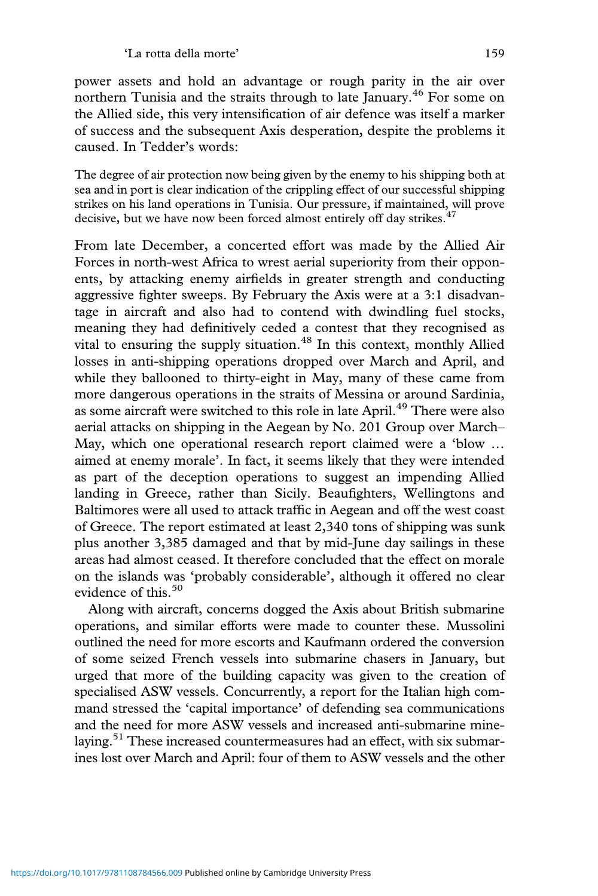power assets and hold an advantage or rough parity in the air over northern Tunisia and the straits through to late January.<sup>46</sup> For some on the Allied side, this very intensification of air defence was itself a marker of success and the subsequent Axis desperation, despite the problems it caused. In Tedder's words:

The degree of air protection now being given by the enemy to his shipping both at sea and in port is clear indication of the crippling effect of our successful shipping strikes on his land operations in Tunisia. Our pressure, if maintained, will prove decisive, but we have now been forced almost entirely off day strikes.<sup>47</sup>

From late December, a concerted effort was made by the Allied Air Forces in north-west Africa to wrest aerial superiority from their opponents, by attacking enemy airfields in greater strength and conducting aggressive fighter sweeps. By February the Axis were at a 3:1 disadvantage in aircraft and also had to contend with dwindling fuel stocks, meaning they had definitively ceded a contest that they recognised as vital to ensuring the supply situation.<sup>48</sup> In this context, monthly Allied losses in anti-shipping operations dropped over March and April, and while they ballooned to thirty-eight in May, many of these came from more dangerous operations in the straits of Messina or around Sardinia, as some aircraft were switched to this role in late April.<sup>49</sup> There were also aerial attacks on shipping in the Aegean by No. 201 Group over March– May, which one operational research report claimed were a 'blow … aimed at enemy morale'. In fact, it seems likely that they were intended as part of the deception operations to suggest an impending Allied landing in Greece, rather than Sicily. Beaufighters, Wellingtons and Baltimores were all used to attack traffic in Aegean and off the west coast of Greece. The report estimated at least 2,340 tons of shipping was sunk plus another 3,385 damaged and that by mid-June day sailings in these areas had almost ceased. It therefore concluded that the effect on morale on the islands was 'probably considerable', although it offered no clear evidence of this.<sup>50</sup>

Along with aircraft, concerns dogged the Axis about British submarine operations, and similar efforts were made to counter these. Mussolini outlined the need for more escorts and Kaufmann ordered the conversion of some seized French vessels into submarine chasers in January, but urged that more of the building capacity was given to the creation of specialised ASW vessels. Concurrently, a report for the Italian high command stressed the 'capital importance' of defending sea communications and the need for more ASW vessels and increased anti-submarine minelaying.<sup>51</sup> These increased countermeasures had an effect, with six submarines lost over March and April: four of them to ASW vessels and the other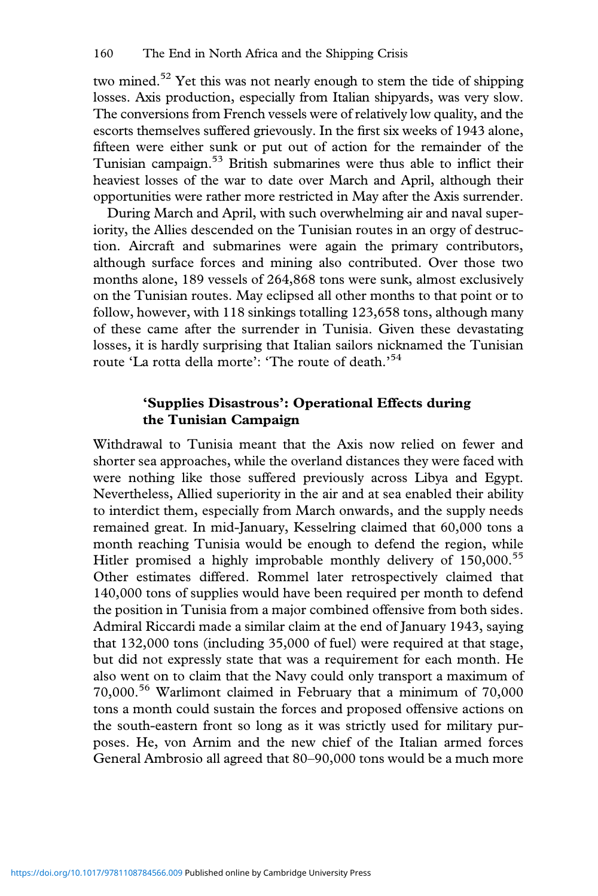two mined.<sup>52</sup> Yet this was not nearly enough to stem the tide of shipping losses. Axis production, especially from Italian shipyards, was very slow. The conversions from French vessels were of relatively low quality, and the escorts themselves suffered grievously. In the first six weeks of 1943 alone, fifteen were either sunk or put out of action for the remainder of the Tunisian campaign.53 British submarines were thus able to inflict their heaviest losses of the war to date over March and April, although their opportunities were rather more restricted in May after the Axis surrender.

During March and April, with such overwhelming air and naval superiority, the Allies descended on the Tunisian routes in an orgy of destruction. Aircraft and submarines were again the primary contributors, although surface forces and mining also contributed. Over those two months alone, 189 vessels of 264,868 tons were sunk, almost exclusively on the Tunisian routes. May eclipsed all other months to that point or to follow, however, with 118 sinkings totalling 123,658 tons, although many of these came after the surrender in Tunisia. Given these devastating losses, it is hardly surprising that Italian sailors nicknamed the Tunisian route 'La rotta della morte': 'The route of death.' 54

## **'Supplies Disastrous': Operational Effects during the Tunisian Campaign**

Withdrawal to Tunisia meant that the Axis now relied on fewer and shorter sea approaches, while the overland distances they were faced with were nothing like those suffered previously across Libya and Egypt. Nevertheless, Allied superiority in the air and at sea enabled their ability to interdict them, especially from March onwards, and the supply needs remained great. In mid-January, Kesselring claimed that 60,000 tons a month reaching Tunisia would be enough to defend the region, while Hitler promised a highly improbable monthly delivery of 150,000.<sup>55</sup> Other estimates differed. Rommel later retrospectively claimed that 140,000 tons of supplies would have been required per month to defend the position in Tunisia from a major combined offensive from both sides. Admiral Riccardi made a similar claim at the end of January 1943, saying that 132,000 tons (including 35,000 of fuel) were required at that stage, but did not expressly state that was a requirement for each month. He also went on to claim that the Navy could only transport a maximum of 70,000.<sup>56</sup> Warlimont claimed in February that a minimum of 70,000 tons a month could sustain the forces and proposed offensive actions on the south-eastern front so long as it was strictly used for military purposes. He, von Arnim and the new chief of the Italian armed forces General Ambrosio all agreed that 80–90,000 tons would be a much more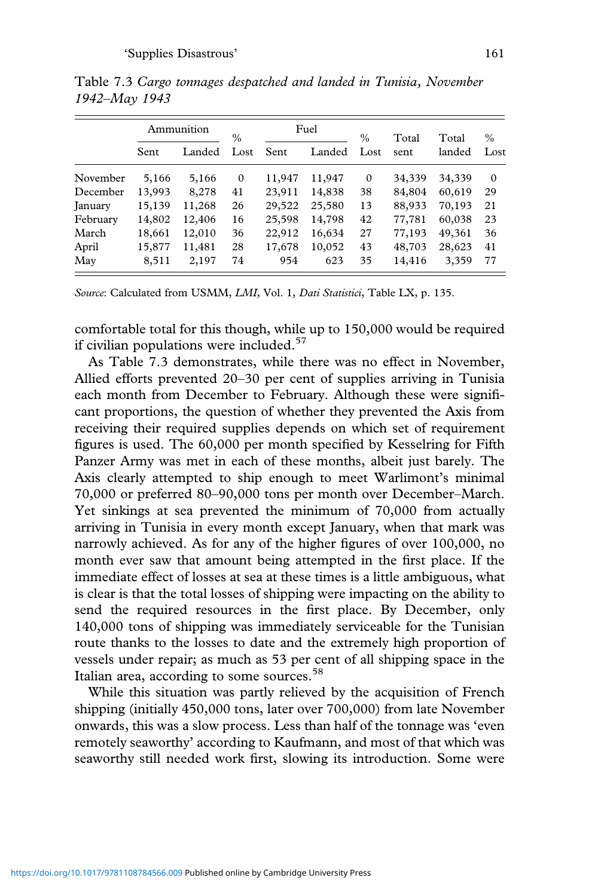|          | Ammunition |        | $\%$        | Fuel   |        | $\frac{0}{0}$ | Total  | Total  | $\frac{0}{0}$ |
|----------|------------|--------|-------------|--------|--------|---------------|--------|--------|---------------|
|          | Sent       | Landed | Lost        | Sent   | Landed | Lost          | sent   | landed | Lost          |
| November | 5,166      | 5,166  | $\mathbf 0$ | 11,947 | 11,947 | $\mathbf{0}$  | 34,339 | 34,339 | $\Omega$      |
| December | 13,993     | 8,278  | 41          | 23,911 | 14,838 | 38            | 84,804 | 60,619 | 29            |
| January  | 15,139     | 11,268 | 26          | 29,522 | 25,580 | 13            | 88,933 | 70,193 | 21            |
| February | 14,802     | 12,406 | 16          | 25,598 | 14,798 | 42            | 77,781 | 60,038 | 23            |
| March    | 18,661     | 12,010 | 36          | 22,912 | 16,634 | 27            | 77,193 | 49,361 | 36            |
| April    | 15,877     | 11,481 | 28          | 17,678 | 10,052 | 43            | 48,703 | 28,623 | 41            |
| May      | 8,511      | 2,197  | 74          | 954    | 623    | 35            | 14,416 | 3,359  | 77            |

Table 7.3 *Cargo tonnages despatched and landed in Tunisia, November 1942–May 1943*

*Source*: Calculated from USMM, *LMI*, Vol. 1, *Dati Statistici*, Table LX, p. 135.

comfortable total for this though, while up to 150,000 would be required if civilian populations were included. $57$ 

As Table 7.3 demonstrates, while there was no effect in November, Allied efforts prevented 20–30 per cent of supplies arriving in Tunisia each month from December to February. Although these were significant proportions, the question of whether they prevented the Axis from receiving their required supplies depends on which set of requirement figures is used. The 60,000 per month specified by Kesselring for Fifth Panzer Army was met in each of these months, albeit just barely. The Axis clearly attempted to ship enough to meet Warlimont's minimal 70,000 or preferred 80–90,000 tons per month over December–March. Yet sinkings at sea prevented the minimum of 70,000 from actually arriving in Tunisia in every month except January, when that mark was narrowly achieved. As for any of the higher figures of over 100,000, no month ever saw that amount being attempted in the first place. If the immediate effect of losses at sea at these times is a little ambiguous, what is clear is that the total losses of shipping were impacting on the ability to send the required resources in the first place. By December, only 140,000 tons of shipping was immediately serviceable for the Tunisian route thanks to the losses to date and the extremely high proportion of vessels under repair; as much as 53 per cent of all shipping space in the Italian area, according to some sources.<sup>58</sup>

While this situation was partly relieved by the acquisition of French shipping (initially 450,000 tons, later over 700,000) from late November onwards, this was a slow process. Less than half of the tonnage was 'even remotely seaworthy' according to Kaufmann, and most of that which was seaworthy still needed work first, slowing its introduction. Some were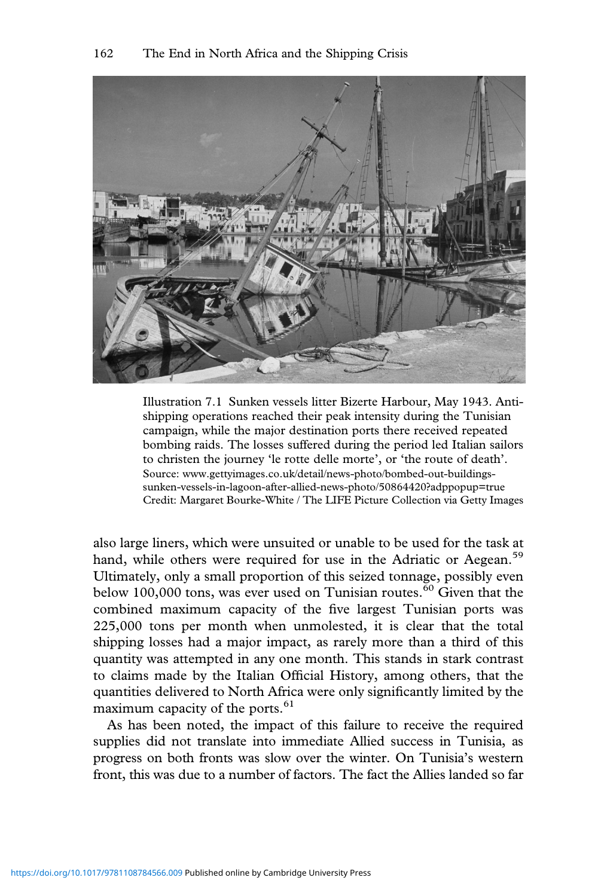

Illustration 7.1 Sunken vessels litter Bizerte Harbour, May 1943. Antishipping operations reached their peak intensity during the Tunisian campaign, while the major destination ports there received repeated bombing raids. The losses suffered during the period led Italian sailors to christen the journey 'le rotte delle morte', or 'the route of death'. Source: www.gettyimages.co.uk/detail/news-photo/bombed-out-buildingssunken-vessels-in-lagoon-after-allied-news-photo/50864420?adppopup=true Credit: Margaret Bourke-White / The LIFE Picture Collection via Getty Images

also large liners, which were unsuited or unable to be used for the task at hand, while others were required for use in the Adriatic or Aegean.<sup>59</sup> Ultimately, only a small proportion of this seized tonnage, possibly even below 100,000 tons, was ever used on Tunisian routes.<sup>60</sup> Given that the combined maximum capacity of the five largest Tunisian ports was 225,000 tons per month when unmolested, it is clear that the total shipping losses had a major impact, as rarely more than a third of this quantity was attempted in any one month. This stands in stark contrast to claims made by the Italian Official History, among others, that the quantities delivered to North Africa were only significantly limited by the maximum capacity of the ports.<sup>61</sup>

As has been noted, the impact of this failure to receive the required supplies did not translate into immediate Allied success in Tunisia, as progress on both fronts was slow over the winter. On Tunisia's western front, this was due to a number of factors. The fact the Allies landed so far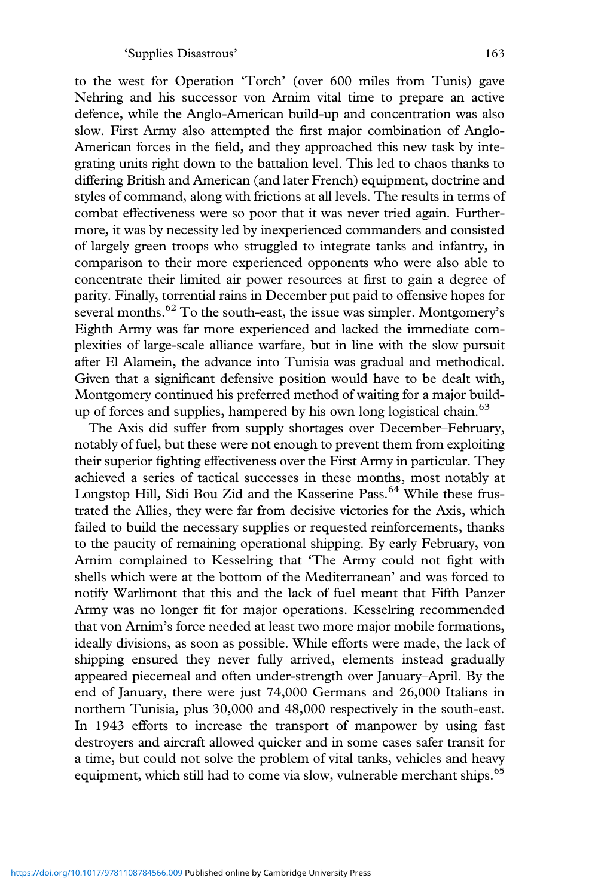to the west for Operation 'Torch' (over 600 miles from Tunis) gave Nehring and his successor von Arnim vital time to prepare an active defence, while the Anglo-American build-up and concentration was also slow. First Army also attempted the first major combination of Anglo-American forces in the field, and they approached this new task by integrating units right down to the battalion level. This led to chaos thanks to differing British and American (and later French) equipment, doctrine and styles of command, along with frictions at all levels. The results in terms of combat effectiveness were so poor that it was never tried again. Furthermore, it was by necessity led by inexperienced commanders and consisted of largely green troops who struggled to integrate tanks and infantry, in comparison to their more experienced opponents who were also able to concentrate their limited air power resources at first to gain a degree of parity. Finally, torrential rains in December put paid to offensive hopes for several months.<sup>62</sup> To the south-east, the issue was simpler. Montgomery's Eighth Army was far more experienced and lacked the immediate complexities of large-scale alliance warfare, but in line with the slow pursuit after El Alamein, the advance into Tunisia was gradual and methodical. Given that a significant defensive position would have to be dealt with, Montgomery continued his preferred method of waiting for a major buildup of forces and supplies, hampered by his own long logistical chain.<sup>63</sup>

The Axis did suffer from supply shortages over December–February, notably of fuel, but these were not enough to prevent them from exploiting their superior fighting effectiveness over the First Army in particular. They achieved a series of tactical successes in these months, most notably at Longstop Hill, Sidi Bou Zid and the Kasserine Pass.<sup>64</sup> While these frustrated the Allies, they were far from decisive victories for the Axis, which failed to build the necessary supplies or requested reinforcements, thanks to the paucity of remaining operational shipping. By early February, von Arnim complained to Kesselring that 'The Army could not fight with shells which were at the bottom of the Mediterranean' and was forced to notify Warlimont that this and the lack of fuel meant that Fifth Panzer Army was no longer fit for major operations. Kesselring recommended that von Arnim's force needed at least two more major mobile formations, ideally divisions, as soon as possible. While efforts were made, the lack of shipping ensured they never fully arrived, elements instead gradually appeared piecemeal and often under-strength over January–April. By the end of January, there were just 74,000 Germans and 26,000 Italians in northern Tunisia, plus 30,000 and 48,000 respectively in the south-east. In 1943 efforts to increase the transport of manpower by using fast destroyers and aircraft allowed quicker and in some cases safer transit for a time, but could not solve the problem of vital tanks, vehicles and heavy equipment, which still had to come via slow, vulnerable merchant ships.<sup>65</sup>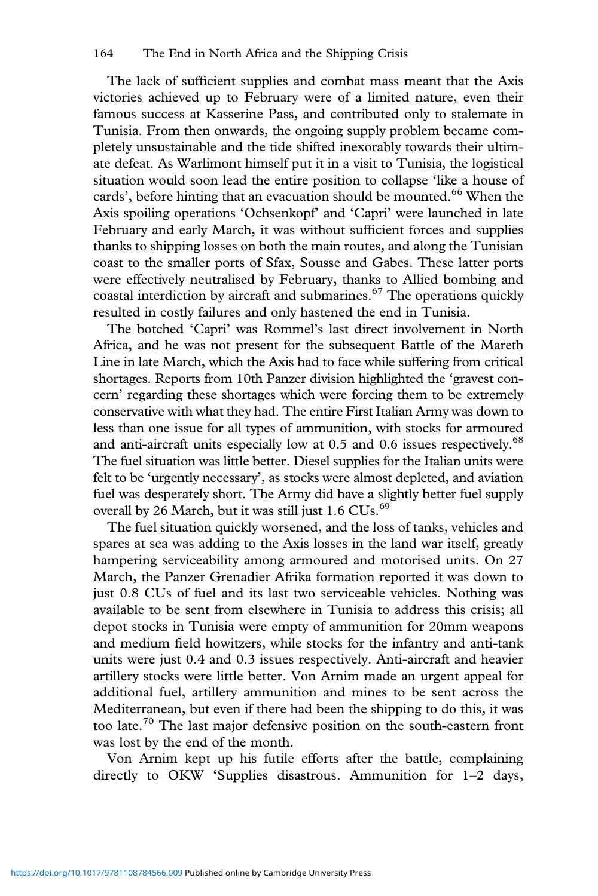The lack of sufficient supplies and combat mass meant that the Axis victories achieved up to February were of a limited nature, even their famous success at Kasserine Pass, and contributed only to stalemate in Tunisia. From then onwards, the ongoing supply problem became completely unsustainable and the tide shifted inexorably towards their ultimate defeat. As Warlimont himself put it in a visit to Tunisia, the logistical situation would soon lead the entire position to collapse 'like a house of cards', before hinting that an evacuation should be mounted.<sup>66</sup> When the Axis spoiling operations 'Ochsenkopf' and 'Capri' were launched in late February and early March, it was without sufficient forces and supplies thanks to shipping losses on both the main routes, and along the Tunisian coast to the smaller ports of Sfax, Sousse and Gabes. These latter ports were effectively neutralised by February, thanks to Allied bombing and coastal interdiction by aircraft and submarines. $67$  The operations quickly resulted in costly failures and only hastened the end in Tunisia.

The botched 'Capri' was Rommel's last direct involvement in North Africa, and he was not present for the subsequent Battle of the Mareth Line in late March, which the Axis had to face while suffering from critical shortages. Reports from 10th Panzer division highlighted the 'gravest concern' regarding these shortages which were forcing them to be extremely conservative with what they had. The entire First Italian Army was down to less than one issue for all types of ammunition, with stocks for armoured and anti-aircraft units especially low at  $0.5$  and  $0.6$  issues respectively.<sup>68</sup> The fuel situation was little better. Diesel supplies for the Italian units were felt to be 'urgently necessary', as stocks were almost depleted, and aviation fuel was desperately short. The Army did have a slightly better fuel supply overall by 26 March, but it was still just  $1.6 \text{ CUs.}^{69}$ 

The fuel situation quickly worsened, and the loss of tanks, vehicles and spares at sea was adding to the Axis losses in the land war itself, greatly hampering serviceability among armoured and motorised units. On 27 March, the Panzer Grenadier Afrika formation reported it was down to just 0.8 CUs of fuel and its last two serviceable vehicles. Nothing was available to be sent from elsewhere in Tunisia to address this crisis; all depot stocks in Tunisia were empty of ammunition for 20mm weapons and medium field howitzers, while stocks for the infantry and anti-tank units were just 0.4 and 0.3 issues respectively. Anti-aircraft and heavier artillery stocks were little better. Von Arnim made an urgent appeal for additional fuel, artillery ammunition and mines to be sent across the Mediterranean, but even if there had been the shipping to do this, it was too late.<sup>70</sup> The last major defensive position on the south-eastern front was lost by the end of the month.

Von Arnim kept up his futile efforts after the battle, complaining directly to OKW 'Supplies disastrous. Ammunition for 1–2 days,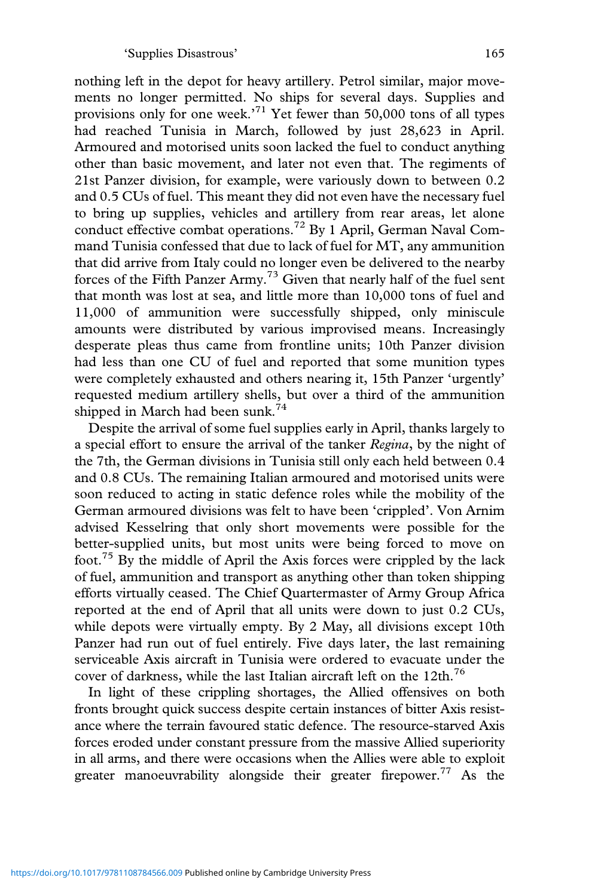nothing left in the depot for heavy artillery. Petrol similar, major movements no longer permitted. No ships for several days. Supplies and provisions only for one week.' <sup>71</sup> Yet fewer than 50,000 tons of all types had reached Tunisia in March, followed by just 28,623 in April. Armoured and motorised units soon lacked the fuel to conduct anything other than basic movement, and later not even that. The regiments of 21st Panzer division, for example, were variously down to between 0.2 and 0.5 CUs of fuel. This meant they did not even have the necessary fuel to bring up supplies, vehicles and artillery from rear areas, let alone conduct effective combat operations.<sup>72</sup> By 1 April, German Naval Command Tunisia confessed that due to lack of fuel for MT, any ammunition that did arrive from Italy could no longer even be delivered to the nearby forces of the Fifth Panzer Army.<sup>73</sup> Given that nearly half of the fuel sent that month was lost at sea, and little more than 10,000 tons of fuel and 11,000 of ammunition were successfully shipped, only miniscule amounts were distributed by various improvised means. Increasingly desperate pleas thus came from frontline units; 10th Panzer division had less than one CU of fuel and reported that some munition types were completely exhausted and others nearing it, 15th Panzer 'urgently' requested medium artillery shells, but over a third of the ammunition shipped in March had been sunk.<sup>74</sup>

Despite the arrival of some fuel supplies early in April, thanks largely to a special effort to ensure the arrival of the tanker *Regina*, by the night of the 7th, the German divisions in Tunisia still only each held between 0.4 and 0.8 CUs. The remaining Italian armoured and motorised units were soon reduced to acting in static defence roles while the mobility of the German armoured divisions was felt to have been 'crippled'. Von Arnim advised Kesselring that only short movements were possible for the better-supplied units, but most units were being forced to move on foot.<sup>75</sup> By the middle of April the Axis forces were crippled by the lack of fuel, ammunition and transport as anything other than token shipping efforts virtually ceased. The Chief Quartermaster of Army Group Africa reported at the end of April that all units were down to just 0.2 CUs, while depots were virtually empty. By 2 May, all divisions except 10th Panzer had run out of fuel entirely. Five days later, the last remaining serviceable Axis aircraft in Tunisia were ordered to evacuate under the cover of darkness, while the last Italian aircraft left on the 12th.<sup>76</sup>

In light of these crippling shortages, the Allied offensives on both fronts brought quick success despite certain instances of bitter Axis resistance where the terrain favoured static defence. The resource-starved Axis forces eroded under constant pressure from the massive Allied superiority in all arms, and there were occasions when the Allies were able to exploit greater manoeuvrability alongside their greater firepower.<sup>77</sup> As the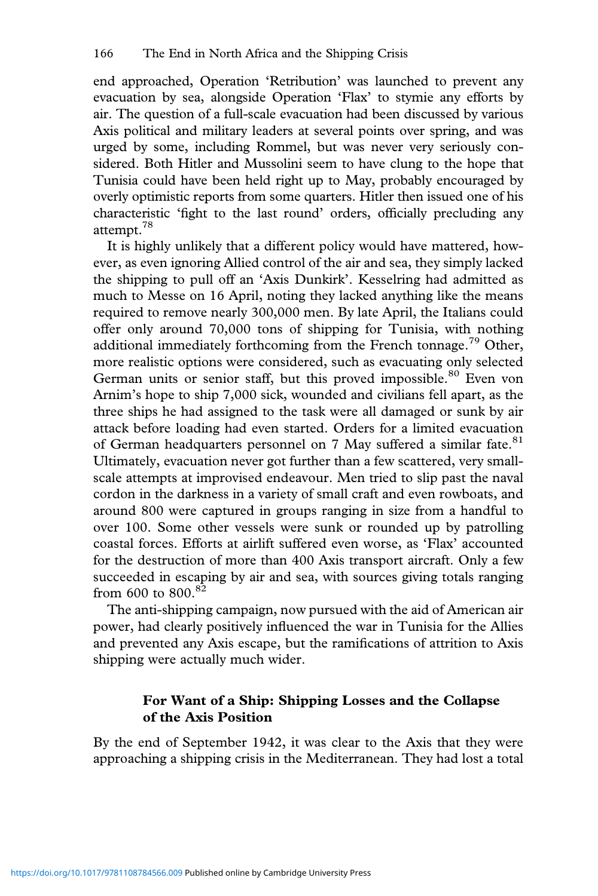end approached, Operation 'Retribution' was launched to prevent any evacuation by sea, alongside Operation 'Flax' to stymie any efforts by air. The question of a full-scale evacuation had been discussed by various Axis political and military leaders at several points over spring, and was urged by some, including Rommel, but was never very seriously considered. Both Hitler and Mussolini seem to have clung to the hope that Tunisia could have been held right up to May, probably encouraged by overly optimistic reports from some quarters. Hitler then issued one of his characteristic 'fight to the last round' orders, officially precluding any attempt.<sup>78</sup>

It is highly unlikely that a different policy would have mattered, however, as even ignoring Allied control of the air and sea, they simply lacked the shipping to pull off an 'Axis Dunkirk'. Kesselring had admitted as much to Messe on 16 April, noting they lacked anything like the means required to remove nearly 300,000 men. By late April, the Italians could offer only around 70,000 tons of shipping for Tunisia, with nothing additional immediately forthcoming from the French tonnage.<sup>79</sup> Other, more realistic options were considered, such as evacuating only selected German units or senior staff, but this proved impossible.<sup>80</sup> Even von Arnim's hope to ship 7,000 sick, wounded and civilians fell apart, as the three ships he had assigned to the task were all damaged or sunk by air attack before loading had even started. Orders for a limited evacuation of German headquarters personnel on 7 May suffered a similar fate.<sup>81</sup> Ultimately, evacuation never got further than a few scattered, very smallscale attempts at improvised endeavour. Men tried to slip past the naval cordon in the darkness in a variety of small craft and even rowboats, and around 800 were captured in groups ranging in size from a handful to over 100. Some other vessels were sunk or rounded up by patrolling coastal forces. Efforts at airlift suffered even worse, as 'Flax' accounted for the destruction of more than 400 Axis transport aircraft. Only a few succeeded in escaping by air and sea, with sources giving totals ranging from 600 to 800.<sup>82</sup>

The anti-shipping campaign, now pursued with the aid of American air power, had clearly positively influenced the war in Tunisia for the Allies and prevented any Axis escape, but the ramifications of attrition to Axis shipping were actually much wider.

## **For Want of a Ship: Shipping Losses and the Collapse of the Axis Position**

By the end of September 1942, it was clear to the Axis that they were approaching a shipping crisis in the Mediterranean. They had lost a total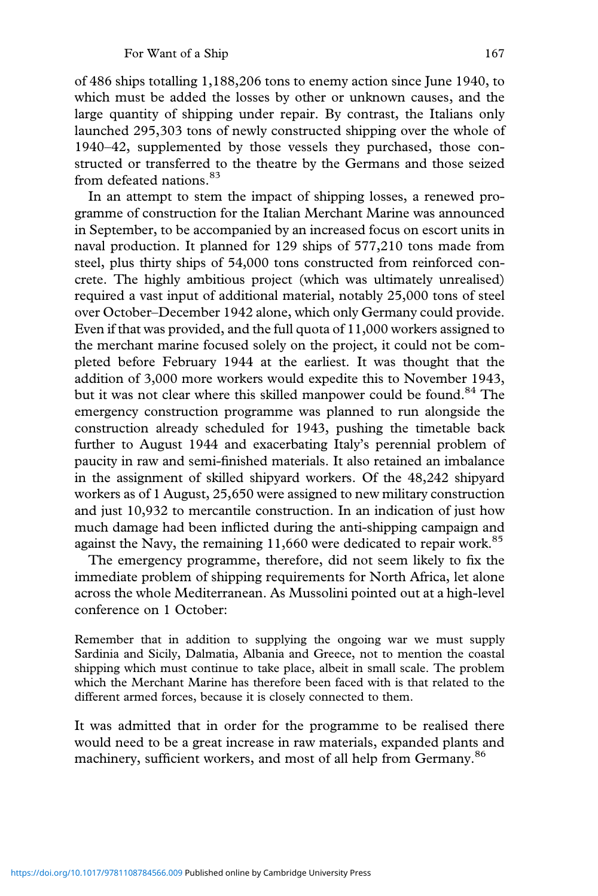of 486 ships totalling 1,188,206 tons to enemy action since June 1940, to which must be added the losses by other or unknown causes, and the large quantity of shipping under repair. By contrast, the Italians only launched 295,303 tons of newly constructed shipping over the whole of 1940–42, supplemented by those vessels they purchased, those constructed or transferred to the theatre by the Germans and those seized from defeated nations.<sup>83</sup>

In an attempt to stem the impact of shipping losses, a renewed programme of construction for the Italian Merchant Marine was announced in September, to be accompanied by an increased focus on escort units in naval production. It planned for 129 ships of 577,210 tons made from steel, plus thirty ships of 54,000 tons constructed from reinforced concrete. The highly ambitious project (which was ultimately unrealised) required a vast input of additional material, notably 25,000 tons of steel over October–December 1942 alone, which only Germany could provide. Even if that was provided, and the full quota of 11,000 workers assigned to the merchant marine focused solely on the project, it could not be completed before February 1944 at the earliest. It was thought that the addition of 3,000 more workers would expedite this to November 1943, but it was not clear where this skilled manpower could be found.<sup>84</sup> The emergency construction programme was planned to run alongside the construction already scheduled for 1943, pushing the timetable back further to August 1944 and exacerbating Italy's perennial problem of paucity in raw and semi-finished materials. It also retained an imbalance in the assignment of skilled shipyard workers. Of the 48,242 shipyard workers as of 1 August, 25,650 were assigned to new military construction and just 10,932 to mercantile construction. In an indication of just how much damage had been inflicted during the anti-shipping campaign and against the Navy, the remaining  $11,660$  were dedicated to repair work.<sup>85</sup>

The emergency programme, therefore, did not seem likely to fix the immediate problem of shipping requirements for North Africa, let alone across the whole Mediterranean. As Mussolini pointed out at a high-level conference on 1 October:

Remember that in addition to supplying the ongoing war we must supply Sardinia and Sicily, Dalmatia, Albania and Greece, not to mention the coastal shipping which must continue to take place, albeit in small scale. The problem which the Merchant Marine has therefore been faced with is that related to the different armed forces, because it is closely connected to them.

It was admitted that in order for the programme to be realised there would need to be a great increase in raw materials, expanded plants and machinery, sufficient workers, and most of all help from Germany.<sup>86</sup>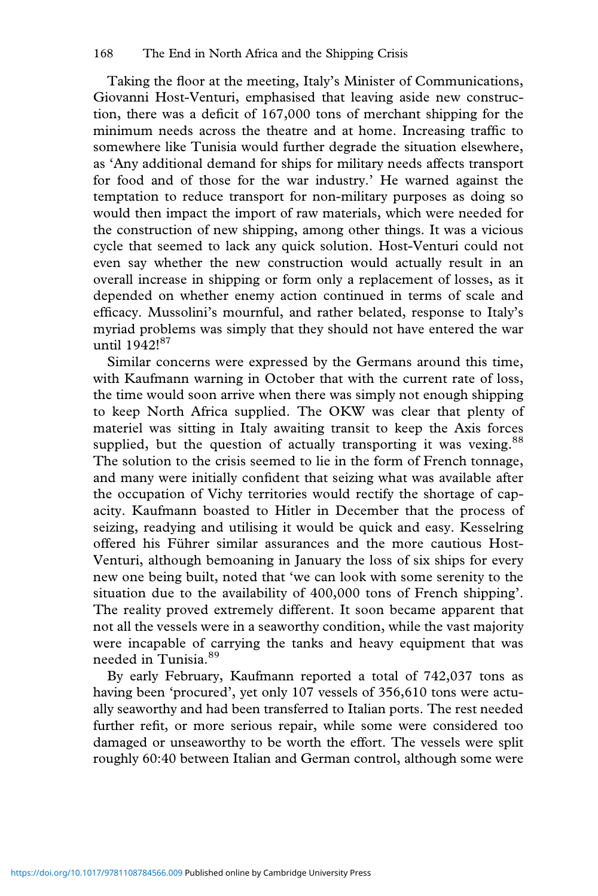Taking the floor at the meeting, Italy's Minister of Communications, Giovanni Host-Venturi, emphasised that leaving aside new construction, there was a deficit of 167,000 tons of merchant shipping for the minimum needs across the theatre and at home. Increasing traffic to somewhere like Tunisia would further degrade the situation elsewhere, as 'Any additional demand for ships for military needs affects transport for food and of those for the war industry.' He warned against the temptation to reduce transport for non-military purposes as doing so would then impact the import of raw materials, which were needed for the construction of new shipping, among other things. It was a vicious cycle that seemed to lack any quick solution. Host-Venturi could not even say whether the new construction would actually result in an overall increase in shipping or form only a replacement of losses, as it depended on whether enemy action continued in terms of scale and efficacy. Mussolini's mournful, and rather belated, response to Italy's myriad problems was simply that they should not have entered the war until 1942!<sup>87</sup>

Similar concerns were expressed by the Germans around this time, with Kaufmann warning in October that with the current rate of loss, the time would soon arrive when there was simply not enough shipping to keep North Africa supplied. The OKW was clear that plenty of materiel was sitting in Italy awaiting transit to keep the Axis forces supplied, but the question of actually transporting it was vexing.<sup>88</sup> The solution to the crisis seemed to lie in the form of French tonnage, and many were initially confident that seizing what was available after the occupation of Vichy territories would rectify the shortage of capacity. Kaufmann boasted to Hitler in December that the process of seizing, readying and utilising it would be quick and easy. Kesselring offered his Führer similar assurances and the more cautious Host-Venturi, although bemoaning in January the loss of six ships for every new one being built, noted that 'we can look with some serenity to the situation due to the availability of 400,000 tons of French shipping'. The reality proved extremely different. It soon became apparent that not all the vessels were in a seaworthy condition, while the vast majority were incapable of carrying the tanks and heavy equipment that was needed in Tunisia.<sup>89</sup>

By early February, Kaufmann reported a total of 742,037 tons as having been 'procured', yet only 107 vessels of 356,610 tons were actually seaworthy and had been transferred to Italian ports. The rest needed further refit, or more serious repair, while some were considered too damaged or unseaworthy to be worth the effort. The vessels were split roughly 60:40 between Italian and German control, although some were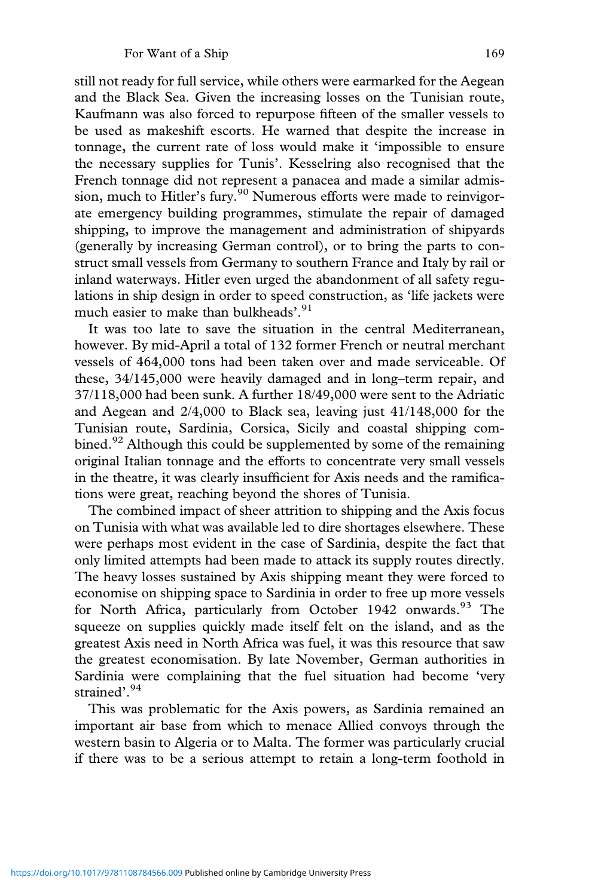still not ready for full service, while others were earmarked for the Aegean and the Black Sea. Given the increasing losses on the Tunisian route, Kaufmann was also forced to repurpose fifteen of the smaller vessels to be used as makeshift escorts. He warned that despite the increase in tonnage, the current rate of loss would make it 'impossible to ensure the necessary supplies for Tunis'. Kesselring also recognised that the French tonnage did not represent a panacea and made a similar admission, much to Hitler's fury.<sup>90</sup> Numerous efforts were made to reinvigorate emergency building programmes, stimulate the repair of damaged shipping, to improve the management and administration of shipyards (generally by increasing German control), or to bring the parts to construct small vessels from Germany to southern France and Italy by rail or inland waterways. Hitler even urged the abandonment of all safety regulations in ship design in order to speed construction, as 'life jackets were much easier to make than bulkheads'. 91

It was too late to save the situation in the central Mediterranean, however. By mid-April a total of 132 former French or neutral merchant vessels of 464,000 tons had been taken over and made serviceable. Of these, 34/145,000 were heavily damaged and in long–term repair, and 37/118,000 had been sunk. A further 18/49,000 were sent to the Adriatic and Aegean and 2/4,000 to Black sea, leaving just 41/148,000 for the Tunisian route, Sardinia, Corsica, Sicily and coastal shipping combined.<sup>92</sup> Although this could be supplemented by some of the remaining original Italian tonnage and the efforts to concentrate very small vessels in the theatre, it was clearly insufficient for Axis needs and the ramifications were great, reaching beyond the shores of Tunisia.

The combined impact of sheer attrition to shipping and the Axis focus on Tunisia with what was available led to dire shortages elsewhere. These were perhaps most evident in the case of Sardinia, despite the fact that only limited attempts had been made to attack its supply routes directly. The heavy losses sustained by Axis shipping meant they were forced to economise on shipping space to Sardinia in order to free up more vessels for North Africa, particularly from October 1942 onwards.<sup>93</sup> The squeeze on supplies quickly made itself felt on the island, and as the greatest Axis need in North Africa was fuel, it was this resource that saw the greatest economisation. By late November, German authorities in Sardinia were complaining that the fuel situation had become 'very strained'. 94

This was problematic for the Axis powers, as Sardinia remained an important air base from which to menace Allied convoys through the western basin to Algeria or to Malta. The former was particularly crucial if there was to be a serious attempt to retain a long-term foothold in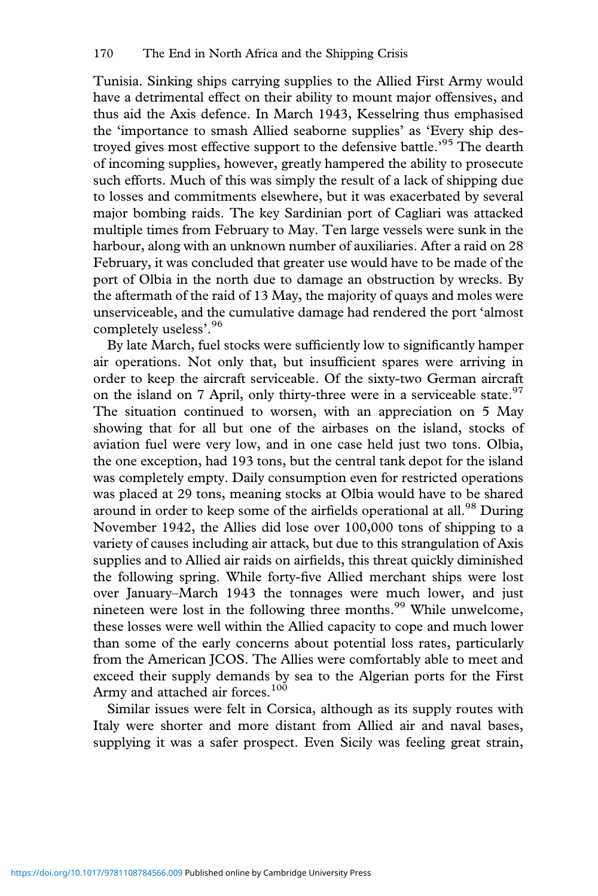Tunisia. Sinking ships carrying supplies to the Allied First Army would have a detrimental effect on their ability to mount major offensives, and thus aid the Axis defence. In March 1943, Kesselring thus emphasised the 'importance to smash Allied seaborne supplies' as 'Every ship destroyed gives most effective support to the defensive battle.<sup>95</sup> The dearth of incoming supplies, however, greatly hampered the ability to prosecute such efforts. Much of this was simply the result of a lack of shipping due to losses and commitments elsewhere, but it was exacerbated by several major bombing raids. The key Sardinian port of Cagliari was attacked multiple times from February to May. Ten large vessels were sunk in the harbour, along with an unknown number of auxiliaries. After a raid on 28 February, it was concluded that greater use would have to be made of the port of Olbia in the north due to damage an obstruction by wrecks. By the aftermath of the raid of 13 May, the majority of quays and moles were unserviceable, and the cumulative damage had rendered the port 'almost completely useless'. 96

By late March, fuel stocks were sufficiently low to significantly hamper air operations. Not only that, but insufficient spares were arriving in order to keep the aircraft serviceable. Of the sixty-two German aircraft on the island on 7 April, only thirty-three were in a serviceable state.<sup>97</sup> The situation continued to worsen, with an appreciation on 5 May showing that for all but one of the airbases on the island, stocks of aviation fuel were very low, and in one case held just two tons. Olbia, the one exception, had 193 tons, but the central tank depot for the island was completely empty. Daily consumption even for restricted operations was placed at 29 tons, meaning stocks at Olbia would have to be shared around in order to keep some of the airfields operational at all.<sup>98</sup> During November 1942, the Allies did lose over 100,000 tons of shipping to a variety of causes including air attack, but due to this strangulation of Axis supplies and to Allied air raids on airfields, this threat quickly diminished the following spring. While forty-five Allied merchant ships were lost over January–March 1943 the tonnages were much lower, and just nineteen were lost in the following three months.<sup>99</sup> While unwelcome, these losses were well within the Allied capacity to cope and much lower than some of the early concerns about potential loss rates, particularly from the American JCOS. The Allies were comfortably able to meet and exceed their supply demands by sea to the Algerian ports for the First Army and attached air forces.<sup>100</sup>

Similar issues were felt in Corsica, although as its supply routes with Italy were shorter and more distant from Allied air and naval bases, supplying it was a safer prospect. Even Sicily was feeling great strain,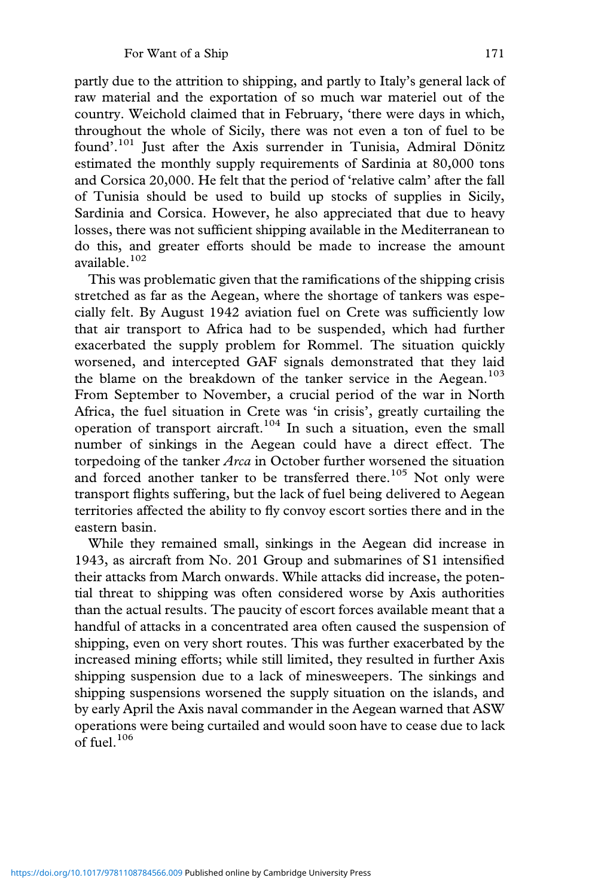partly due to the attrition to shipping, and partly to Italy's general lack of raw material and the exportation of so much war materiel out of the country. Weichold claimed that in February, 'there were days in which, throughout the whole of Sicily, there was not even a ton of fuel to be found'. <sup>101</sup> Just after the Axis surrender in Tunisia, Admiral Dönitz estimated the monthly supply requirements of Sardinia at 80,000 tons and Corsica 20,000. He felt that the period of 'relative calm' after the fall of Tunisia should be used to build up stocks of supplies in Sicily, Sardinia and Corsica. However, he also appreciated that due to heavy losses, there was not sufficient shipping available in the Mediterranean to do this, and greater efforts should be made to increase the amount available.<sup>102</sup>

This was problematic given that the ramifications of the shipping crisis stretched as far as the Aegean, where the shortage of tankers was especially felt. By August 1942 aviation fuel on Crete was sufficiently low that air transport to Africa had to be suspended, which had further exacerbated the supply problem for Rommel. The situation quickly worsened, and intercepted GAF signals demonstrated that they laid the blame on the breakdown of the tanker service in the Aegean.<sup>103</sup> From September to November, a crucial period of the war in North Africa, the fuel situation in Crete was 'in crisis', greatly curtailing the operation of transport aircraft.<sup>104</sup> In such a situation, even the small number of sinkings in the Aegean could have a direct effect. The torpedoing of the tanker *Arca* in October further worsened the situation and forced another tanker to be transferred there.<sup>105</sup> Not only were transport flights suffering, but the lack of fuel being delivered to Aegean territories affected the ability to fly convoy escort sorties there and in the eastern basin.

While they remained small, sinkings in the Aegean did increase in 1943, as aircraft from No. 201 Group and submarines of S1 intensified their attacks from March onwards. While attacks did increase, the potential threat to shipping was often considered worse by Axis authorities than the actual results. The paucity of escort forces available meant that a handful of attacks in a concentrated area often caused the suspension of shipping, even on very short routes. This was further exacerbated by the increased mining efforts; while still limited, they resulted in further Axis shipping suspension due to a lack of minesweepers. The sinkings and shipping suspensions worsened the supply situation on the islands, and by early April the Axis naval commander in the Aegean warned that ASW operations were being curtailed and would soon have to cease due to lack of fuel. $106$